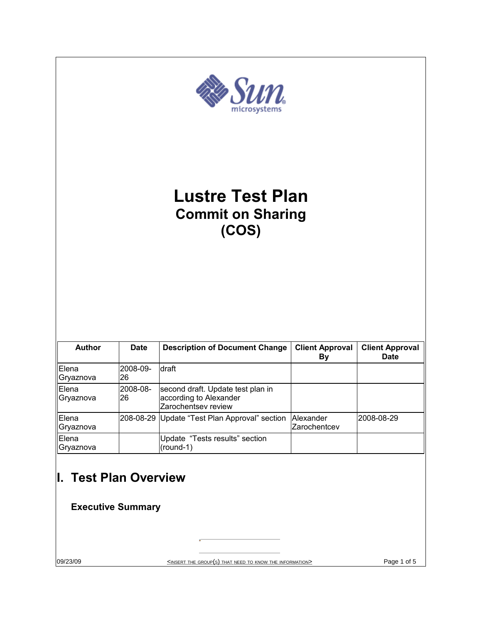| >Sun<br><b>Lustre Test Plan</b><br><b>Commit on Sharing</b><br>(COS) |                                                                                   |                                                                                    |                           |             |
|----------------------------------------------------------------------|-----------------------------------------------------------------------------------|------------------------------------------------------------------------------------|---------------------------|-------------|
|                                                                      |                                                                                   |                                                                                    |                           |             |
| Elena<br>Gryaznova                                                   | 2008-09-<br>26                                                                    | draft                                                                              |                           |             |
| Elena<br>Gryaznova                                                   | 2008-08-<br>26                                                                    | second draft. Update test plan in<br>according to Alexander<br>Zarochentsey review |                           |             |
| Elena<br>Gryaznova                                                   |                                                                                   | 208-08-29 Update "Test Plan Approval" section                                      | Alexander<br>Zarochentcev | 2008-08-29  |
| Elena<br>Gryaznova                                                   |                                                                                   | Update "Tests results" section<br>$(round-1)$                                      |                           |             |
| I. Test Plan Overview                                                | <b>Executive Summary</b>                                                          |                                                                                    |                           |             |
| 09/23/09                                                             | <insert group(s)="" information="" know="" need="" that="" the="" to=""></insert> |                                                                                    |                           | Page 1 of 5 |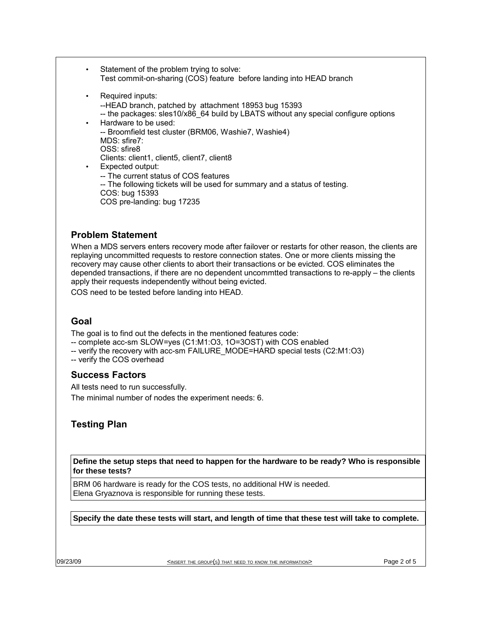Statement of the problem trying to solve: Test commit-on-sharing (COS) feature before landing into HEAD branch Required inputs: --HEAD branch, patched by attachment 18953 bug 15393 -- the packages: sles10/x86\_64 build by LBATS without any special configure options • Hardware to be used: -- Broomfield test cluster (BRM06, Washie7, Washie4) MDS: sfire7: OSS: sfire8 Clients: client1, client5, client7, client8 Expected output: -- The current status of COS features -- The following tickets will be used for summary and a status of testing. COS: bug 15393 COS pre-landing: bug 17235

## **Problem Statement**

When a MDS servers enters recovery mode after failover or restarts for other reason, the clients are replaying uncommitted requests to restore connection states. One or more clients missing the recovery may cause other clients to abort their transactions or be evicted. COS eliminates the depended transactions, if there are no dependent uncommtted transactions to re-apply – the clients apply their requests independently without being evicted.

COS need to be tested before landing into HEAD.

## **Goal**

The goal is to find out the defects in the mentioned features code:

- -- complete acc-sm SLOW=yes (C1:M1:O3, 1O=3OST) with COS enabled
- -- verify the recovery with acc-sm FAILURE\_MODE=HARD special tests (C2:M1:O3)
- -- verify the COS overhead

### **Success Factors**

All tests need to run successfully.

The minimal number of nodes the experiment needs: 6.

# **Testing Plan**

**Define the setup steps that need to happen for the hardware to be ready? Who is responsible for these tests?**

BRM 06 hardware is ready for the COS tests, no additional HW is needed. Elena Gryaznova is responsible for running these tests.

**Specify the date these tests will start, and length of time that these test will take to complete.**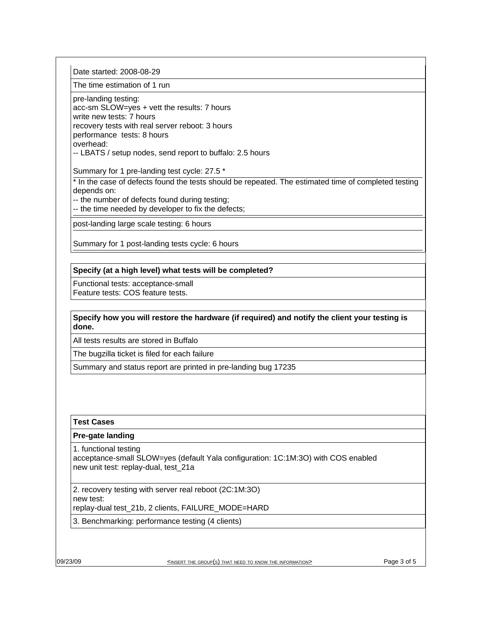Date started: 2008-08-29

The time estimation of 1 run

pre-landing testing:

acc-sm SLOW=yes + vett the results: 7 hours write new tests: 7 hours recovery tests with real server reboot: 3 hours performance tests: 8 hours overhead:

-- LBATS / setup nodes, send report to buffalo: 2.5 hours

Summary for 1 pre-landing test cycle: 27.5 \*

\* In the case of defects found the tests should be repeated. The estimated time of completed testing depends on:

-- the number of defects found during testing;

-- the time needed by developer to fix the defects;

post-landing large scale testing: 6 hours

Summary for 1 post-landing tests cycle: 6 hours

#### **Specify (at a high level) what tests will be completed?**

Functional tests: acceptance-small Feature tests: COS feature tests.

#### **Specify how you will restore the hardware (if required) and notify the client your testing is done.**

All tests results are stored in Buffalo

The bugzilla ticket is filed for each failure

Summary and status report are printed in pre-landing bug 17235

#### **Test Cases**

#### **Pre-gate landing**

1. functional testing

acceptance-small SLOW=yes (default Yala configuration: 1C:1M:3O) with COS enabled new unit test: replay-dual, test\_21a

2. recovery testing with server real reboot (2C:1M:3O) new test:

replay-dual test 21b, 2 clients, FAILURE\_MODE=HARD

3. Benchmarking: performance testing (4 clients)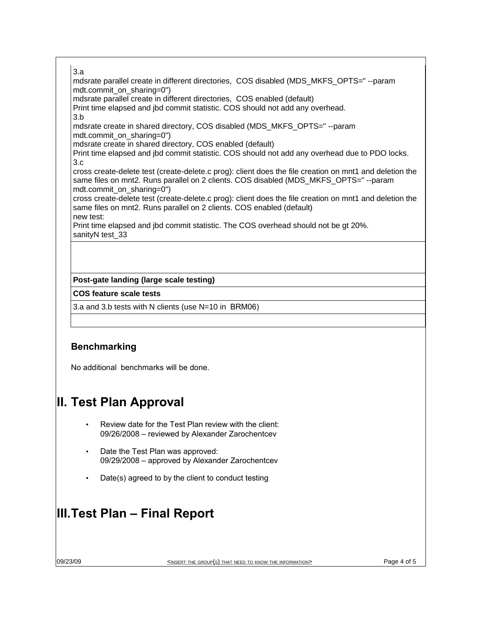#### 3.a

mdsrate parallel create in different directories, COS disabled (MDS\_MKFS\_OPTS=" --param mdt.commit\_on\_sharing=0")

mdsrate parallel create in different directories, COS enabled (default)

Print time elapsed and jbd commit statistic. COS should not add any overhead.

3.b

mdsrate create in shared directory, COS disabled (MDS\_MKFS\_OPTS=" --param mdt.commit\_on\_sharing=0")

mdsrate create in shared directory, COS enabled (default)

Print time elapsed and jbd commit statistic. COS should not add any overhead due to PDO locks. 3.c

cross create-delete test (create-delete.c prog): client does the file creation on mnt1 and deletion the same files on mnt2. Runs parallel on 2 clients. COS disabled (MDS\_MKFS\_OPTS=" --param mdt.commit\_on\_sharing=0")

cross create-delete test (create-delete.c prog): client does the file creation on mnt1 and deletion the same files on mnt2. Runs parallel on 2 clients. COS enabled (default)

new test:

Print time elapsed and jbd commit statistic. The COS overhead should not be gt 20%. sanityN test 33

### **Post-gate landing (large scale testing)**

#### **COS feature scale tests**

3.a and 3.b tests with N clients (use N=10 in BRM06)

# **Benchmarking**

No additional benchmarks will be done.

# **II. Test Plan Approval**

- Review date for the Test Plan review with the client: 09/26/2008 – reviewed by Alexander Zarochentcev
- Date the Test Plan was approved: 09/29/2008 – approved by Alexander Zarochentcev
- Date(s) agreed to by the client to conduct testing

# **III.Test Plan – Final Report**